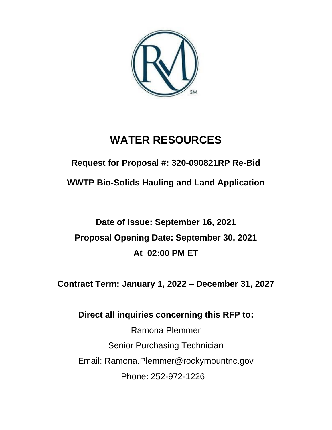

# **WATER RESOURCES**

**Request for Proposal #: 320-090821RP Re-Bid**

**WWTP Bio-Solids Hauling and Land Application**

# **Date of Issue: September 16, 2021 Proposal Opening Date: September 30, 2021 At 02:00 PM ET**

**Contract Term: January 1, 2022 – December 31, 2027**

# **Direct all inquiries concerning this RFP to:**

Ramona Plemmer Senior Purchasing Technician Email: Ramona.Plemmer@rockymountnc.gov Phone: 252-972-1226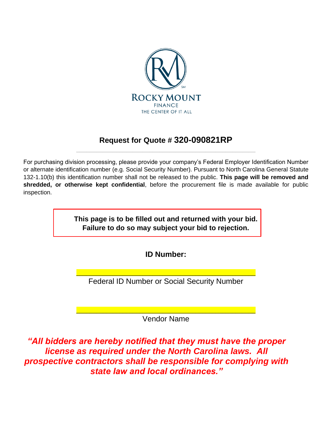

# **Request for Quote # 320-090821RP** \_\_\_\_\_\_\_\_\_\_\_\_\_\_\_\_\_\_\_\_\_\_\_\_\_\_\_\_\_\_\_\_\_\_\_\_\_\_\_\_\_\_\_\_\_\_\_\_\_\_\_\_\_\_

For purchasing division processing, please provide your company's Federal Employer Identification Number or alternate identification number (e.g. Social Security Number). Pursuant to North Carolina General Statute 132-1.10(b) this identification number shall not be released to the public. **This page will be removed and shredded, or otherwise kept confidential**, before the procurement file is made available for public inspection.

> **This page is to be filled out and returned with your bid. Failure to do so may subject your bid to rejection.**

> > **ID Number:**

\_\_\_\_\_\_\_\_\_\_\_\_\_\_\_\_\_\_\_\_\_\_\_\_\_\_\_\_\_\_\_\_\_\_\_\_\_\_\_\_\_\_\_\_\_\_\_\_\_\_\_\_\_\_ Federal ID Number or Social Security Number

\_\_\_\_\_\_\_\_\_\_\_\_\_\_\_\_\_\_\_\_\_\_\_\_\_\_\_\_\_\_\_\_\_\_\_\_\_\_\_\_\_\_\_\_\_\_\_\_\_\_\_\_\_\_ Vendor Name

*"All bidders are hereby notified that they must have the proper license as required under the North Carolina laws. All prospective contractors shall be responsible for complying with state law and local ordinances."*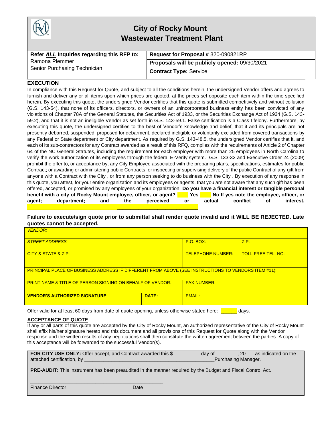

# **City of Rocky Mount Wastewater Treatment Plant**

| Refer ALL Inquiries regarding this RFP to:     | Request for Proposal # 320-090821RP           |
|------------------------------------------------|-----------------------------------------------|
| Ramona Plemmer<br>Senior Purchasing Technician | Proposals will be publicly opened: 09/30/2021 |
|                                                | <b>Contract Type: Service</b>                 |

### **EXECUTION**

In compliance with this Request for Quote, and subject to all the conditions herein, the undersigned Vendor offers and agrees to furnish and deliver any or all items upon which prices are quoted, at the prices set opposite each item within the time specified herein. By executing this quote, the undersigned Vendor certifies that this quote is submitted competitively and without collusion (G.S. 143-54), that none of its officers, directors, or owners of an unincorporated business entity has been convicted of any violations of Chapter 78A of the General Statutes, the Securities Act of 1933, or the Securities Exchange Act of 1934 (G.S. 143- 59.2), and that it is not an ineligible Vendor as set forth in G.S. 143-59.1. False certification is a Class I felony. Furthermore, by executing this quote, the undersigned certifies to the best of Vendor's knowledge and belief, that it and its principals are not presently debarred, suspended, proposed for debarment, declared ineligible or voluntarily excluded from covered transactions by any Federal or State department or City department. As required by G.S. 143-48.5, the undersigned Vendor certifies that it, and each of its sub-contractors for any Contract awarded as a result of this RFQ, complies with the requirements of Article 2 of Chapter 64 of the NC General Statutes, including the requirement for each employer with more than 25 employees in North Carolina to verify the work authorization of its employees through the federal E-Verify system. G.S. 133-32 and Executive Order 24 (2009) prohibit the offer to, or acceptance by, any City Employee associated with the preparing plans, specifications, estimates for public Contract; or awarding or administering public Contracts; or inspecting or supervising delivery of the public Contract of any gift from anyone with a Contract with the City , or from any person seeking to do business with the City . By execution of any response in this quote, you attest, for your entire organization and its employees or agents, that you are not aware that any such gift has been offered, accepted, or promised by any employees of your organization. **Do you have a financial interest or tangible personal benefit with a city of Rocky Mount employee, officer, or agent? \_\_\_\_ Yes \_\_\_\_ No If yes note the employee, officer, or agent; department; and the perceived or actual conflict of interest. \_\_\_\_\_\_\_\_\_\_\_\_\_\_\_\_\_\_\_\_\_\_\_\_\_\_\_\_\_\_\_\_\_**\_\_\_\_\_\_\_\_\_\_\_\_\_\_\_\_\_\_\_\_\_\_\_\_\_\_\_\_\_\_

### **Failure to execute/sign quote prior to submittal shall render quote invalid and it WILL BE REJECTED. Late quotes cannot be accepted.**

| <b>VENDOR:</b>                                                                                             |       |                          |                           |
|------------------------------------------------------------------------------------------------------------|-------|--------------------------|---------------------------|
| <b>STREET ADDRESS:</b>                                                                                     |       | <b>P.O. BOX:</b>         | ZIP:                      |
| CITY & STATE & ZIP:                                                                                        |       | <b>TELEPHONE NUMBER:</b> | <b>TOLL FREE TEL. NO:</b> |
| <b>PRINCIPAL PLACE OF BUSINESS ADDRESS IF DIFFERENT FROM ABOVE (SEE INSTRUCTIONS TO VENDORS ITEM #11):</b> |       |                          |                           |
| <b>PRINT NAME &amp; TITLE OF PERSON SIGNING ON BEHALF OF VENDOR:</b>                                       |       | <b>FAX NUMBER:</b>       |                           |
| <b>VENDOR'S AUTHORIZED SIGNATURE:</b>                                                                      | DATE: | <b>EMAIL:</b>            |                           |

Offer valid for at least 60 days from date of quote opening, unless otherwise stated here: **witch** days.

#### **ACCEPTANCE OF QUOTE**

If any or all parts of this quote are accepted by the City of Rocky Mount, an authorized representative of the City of Rocky Mount shall affix his/her signature hereto and this document and all provisions of this Request for Quote along with the Vendor response and the written results of any negotiations shall then constitute the written agreement between the parties. A copy of this acceptance will be forwarded to the successful Vendor(s).

| FOR CITY USE ONLY: Offer accept, and Contract awarded this \$ | dav of              | 20 as indicated on the |
|---------------------------------------------------------------|---------------------|------------------------|
| attached certification, by                                    | Purchasing Manager. |                        |

**PRE-AUDIT:** This instrument has been preaudited in the manner required by the Budget and Fiscal Control Act.

**Finance Director** Date Date

**\_\_\_\_\_\_\_\_\_\_\_\_\_\_\_\_\_\_\_\_\_\_\_\_\_\_\_\_\_\_\_\_\_\_\_\_\_\_\_\_\_\_\_\_\_\_\_\_\_**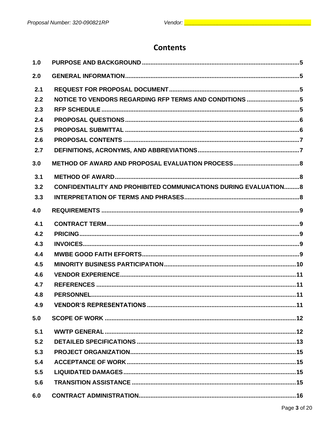# **Contents**

| 1.0 |                                                                          |  |
|-----|--------------------------------------------------------------------------|--|
| 2.0 |                                                                          |  |
| 2.1 |                                                                          |  |
| 2.2 | NOTICE TO VENDORS REGARDING RFP TERMS AND CONDITIONS 5                   |  |
| 2.3 |                                                                          |  |
| 2.4 |                                                                          |  |
| 2.5 |                                                                          |  |
| 2.6 |                                                                          |  |
| 2.7 |                                                                          |  |
| 3.0 |                                                                          |  |
| 3.1 |                                                                          |  |
| 3.2 | <b>CONFIDENTIALITY AND PROHIBITED COMMUNICATIONS DURING EVALUATION 8</b> |  |
| 3.3 |                                                                          |  |
| 4.0 |                                                                          |  |
| 4.1 |                                                                          |  |
| 4.2 |                                                                          |  |
| 4.3 |                                                                          |  |
| 4.4 |                                                                          |  |
| 4.5 |                                                                          |  |
| 4.6 |                                                                          |  |
| 4.7 |                                                                          |  |
| 4.8 |                                                                          |  |
| 4.9 |                                                                          |  |
| 5.0 |                                                                          |  |
| 5.1 |                                                                          |  |
| 5.2 |                                                                          |  |
| 5.3 |                                                                          |  |
| 5.4 |                                                                          |  |
| 5.5 |                                                                          |  |
| 5.6 |                                                                          |  |
| 6.0 |                                                                          |  |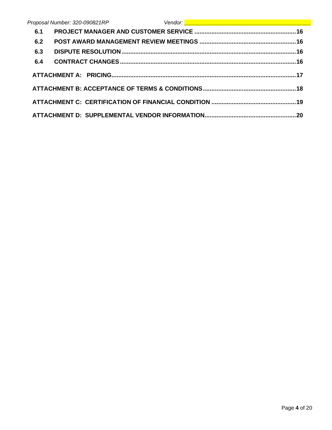|     | Proposal Number: 320-090821RP | Vendor: <u>New Albert (1989)</u> |  |
|-----|-------------------------------|----------------------------------|--|
| 6.1 |                               |                                  |  |
| 6.2 |                               |                                  |  |
| 6.3 |                               |                                  |  |
| 6.4 |                               |                                  |  |
|     |                               |                                  |  |
|     |                               |                                  |  |
|     |                               |                                  |  |
|     |                               |                                  |  |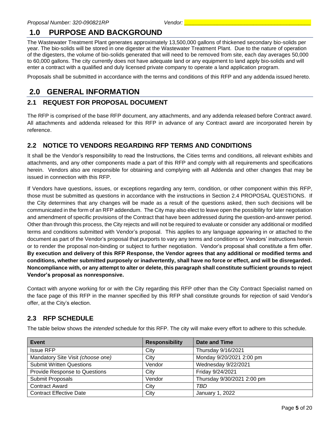# <span id="page-5-0"></span>**1.0 PURPOSE AND BACKGROUND**

The Wastewater Treatment Plant generates approximately 13,500,000 gallons of thickened secondary bio-solids per year. The bio-solids will be stored in one digester at the Wastewater Treatment Plant. Due to the nature of operation of the digesters, the volume of bio-solids generated that will need to be removed from site, each day averages 50,000 to 60,000 gallons. The city currently does not have adequate land or any equipment to land apply bio-solids and will enter a contract with a qualified and duly licensed private company to operate a land application program.

Proposals shall be submitted in accordance with the terms and conditions of this RFP and any addenda issued hereto.

# <span id="page-5-1"></span>**2.0 GENERAL INFORMATION**

# <span id="page-5-2"></span>**2.1 REQUEST FOR PROPOSAL DOCUMENT**

The RFP is comprised of the base RFP document, any attachments, and any addenda released before Contract award. All attachments and addenda released for this RFP in advance of any Contract award are incorporated herein by reference.

# <span id="page-5-3"></span>**2.2 NOTICE TO VENDORS REGARDING RFP TERMS AND CONDITIONS**

It shall be the Vendor's responsibility to read the Instructions, the Cities terms and conditions, all relevant exhibits and attachments, and any other components made a part of this RFP and comply with all requirements and specifications herein. Vendors also are responsible for obtaining and complying with all Addenda and other changes that may be issued in connection with this RFP.

If Vendors have questions, issues, or exceptions regarding any term, condition, or other component within this RFP, those must be submitted as questions in accordance with the instructions in Section 2.4 PROPOSAL QUESTIONS. If the City determines that any changes will be made as a result of the questions asked, then such decisions will be communicated in the form of an RFP addendum. The City may also elect to leave open the possibility for later negotiation and amendment of specific provisions of the Contract that have been addressed during the question-and-answer period. Other than through this process, the City rejects and will not be required to evaluate or consider any additional or modified terms and conditions submitted with Vendor's proposal. This applies to any language appearing in or attached to the document as part of the Vendor's proposal that purports to vary any terms and conditions or Vendors' instructions herein or to render the proposal non-binding or subject to further negotiation. Vendor's proposal shall constitute a firm offer. **By execution and delivery of this RFP Response, the Vendor agrees that any additional or modified terms and conditions, whether submitted purposely or inadvertently, shall have no force or effect, and will be disregarded. Noncompliance with, or any attempt to alter or delete, this paragraph shall constitute sufficient grounds to reject Vendor's proposal as nonresponsive.**

Contact with anyone working for or with the City regarding this RFP other than the City Contract Specialist named on the face page of this RFP in the manner specified by this RFP shall constitute grounds for rejection of said Vendor's offer, at the City's election.

# <span id="page-5-4"></span>**2.3 RFP SCHEDULE**

The table below shows the *intended* schedule for this RFP. The city will make every effort to adhere to this schedule.

| <b>Event</b>                      | <b>Responsibility</b> | Date and Time              |
|-----------------------------------|-----------------------|----------------------------|
| <b>Issue RFP</b>                  | City                  | Thursday 9/16/2021         |
| Mandatory Site Visit (choose one) | City                  | Monday 9/20/2021 2:00 pm   |
| <b>Submit Written Questions</b>   | Vendor                | Wednesday 9/22/2021        |
| Provide Response to Questions     | City                  | Friday 9/24/2021           |
| Submit Proposals                  | Vendor                | Thursday 9/30/2021 2:00 pm |
| <b>Contract Award</b>             | City                  | TBD                        |
| <b>Contract Effective Date</b>    | City                  | January 1, 2022            |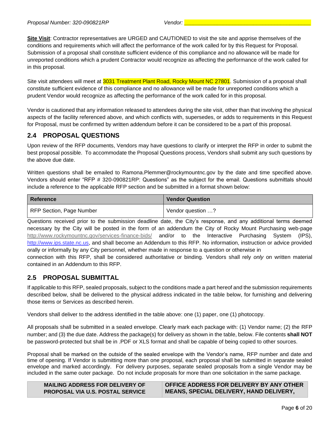**Site Visit**: Contractor representatives are URGED and CAUTIONED to visit the site and apprise themselves of the conditions and requirements which will affect the performance of the work called for by this Request for Proposal. Submission of a proposal shall constitute sufficient evidence of this compliance and no allowance will be made for unreported conditions which a prudent Contractor would recognize as affecting the performance of the work called for in this proposal.

Site visit attendees will meet at 3031 Treatment Plant Road, Rocky Mount NC 27801. Submission of a proposal shall constitute sufficient evidence of this compliance and no allowance will be made for unreported conditions which a prudent Vendor would recognize as affecting the performance of the work called for in this proposal.

Vendor is cautioned that any information released to attendees during the site visit, other than that involving the physical aspects of the facility referenced above, and which conflicts with, supersedes, or adds to requirements in this Request for Proposal, must be confirmed by written addendum before it can be considered to be a part of this proposal.

# <span id="page-6-0"></span>**2.4 PROPOSAL QUESTIONS**

Upon review of the RFP documents, Vendors may have questions to clarify or interpret the RFP in order to submit the best proposal possible. To accommodate the Proposal Questions process, Vendors shall submit any such questions by the above due date.

Written questions shall be emailed to Ramona.Plemmer@rockymountnc.gov by the date and time specified above. Vendors should enter "RFP # 320-090821RP: Questions" as the subject for the email. Questions submittals should include a reference to the applicable RFP section and be submitted in a format shown below:

| Reference                | <b>Vendor Question</b> |
|--------------------------|------------------------|
| RFP Section, Page Number | Yendor question ?      |

Questions received prior to the submission deadline date, the City's response, and any additional terms deemed necessary by the City will be posted in the form of an addendum the City of Rocky Mount Purchasing web-page <http://www.rockymountnc.gov/services-finance-bids/> and/or to the Interactive Purchasing System (IPS), [http://www.ips.state.nc.us,](http://www.ips.state.nc.us/) and shall become an Addendum to this RFP. No information, instruction or advice provided orally or informally by any City personnel, whether made in response to a question or otherwise in

connection with this RFP, shall be considered authoritative or binding. Vendors shall rely *only* on written material contained in an Addendum to this RFP.

# <span id="page-6-1"></span>**2.5 PROPOSAL SUBMITTAL**

If applicable to this RFP, sealed proposals, subject to the conditions made a part hereof and the submission requirements described below, shall be delivered to the physical address indicated in the table below, for furnishing and delivering those items or Services as described herein.

Vendors shall deliver to the address identified in the table above: one (1) paper, one (1) photocopy.

All proposals shall be submitted in a sealed envelope. Clearly mark each package with: (1) Vendor name; (2) the RFP number; and (3) the due date. Address the package(s) for delivery as shown in the table, below. File contents **shall NOT** be password-protected but shall be in .PDF or XLS format and shall be capable of being copied to other sources.

Proposal shall be marked on the outside of the sealed envelope with the Vendor's name, RFP number and date and time of opening. If Vendor is submitting more than one proposal, each proposal shall be submitted in separate sealed envelope and marked accordingly. For delivery purposes, separate sealed proposals from a single Vendor may be included in the same outer package. Do not include proposals for more than one solicitation in the same package.

| <b>MAILING ADDRESS FOR DELIVERY OF</b>  | OFFICE ADDRESS FOR DELIVERY BY ANY OTHER       |
|-----------------------------------------|------------------------------------------------|
| <b>PROPOSAL VIA U.S. POSTAL SERVICE</b> | <b>MEANS, SPECIAL DELIVERY, HAND DELIVERY,</b> |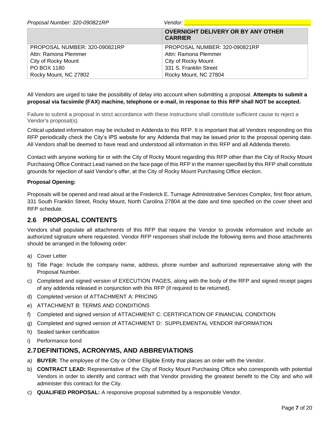| Proposal Number: 320-090821RP | Vendor:                                                     |
|-------------------------------|-------------------------------------------------------------|
|                               | <b>OVERNIGHT DELIVERY OR BY ANY OTHER</b><br><b>CARRIER</b> |
| PROPOSAL NUMBER: 320-090821RP | PROPOSAL NUMBER: 320-090821RP                               |
| Attn: Ramona Plemmer          | Attn: Ramona Plemmer                                        |
| City of Rocky Mount           | City of Rocky Mount                                         |
| PO BOX 1180                   | 331 S. Franklin Street                                      |
| Rocky Mount, NC 27802         | Rocky Mount, NC 27804                                       |

All Vendors are urged to take the possibility of delay into account when submitting a proposal. **Attempts to submit a proposal via facsimile (FAX) machine, telephone or e-mail, in response to this RFP shall NOT be accepted.** 

Failure to submit a proposal in strict accordance with these instructions shall constitute sufficient cause to reject a Vendor's proposal(s).

Critical updated information may be included in Addenda to this RFP. It is important that all Vendors responding on this RFP periodically check the City's IPS website for any Addenda that may be issued prior to the proposal opening date. All Vendors shall be deemed to have read and understood all information in this RFP and all Addenda thereto.

Contact with anyone working for or with the City of Rocky Mount regarding this RFP other than the City of Rocky Mount Purchasing Office Contract Lead named on the face page of this RFP in the manner specified by this RFP shall constitute grounds for rejection of said Vendor's offer, at the City of Rocky Mount Purchasing Office election.

### **Proposal Opening:**

Proposals will be opened and read aloud at the Frederick E. Turnage Administrative Services Complex, first floor atrium, 331 South Franklin Street, Rocky Mount, North Carolina 27804 at the date and time specified on the cover sheet and RFP schedule.

# <span id="page-7-0"></span>**2.6 PROPOSAL CONTENTS**

Vendors shall populate all attachments of this RFP that require the Vendor to provide information and include an authorized signature where requested. Vendor RFP responses shall include the following items and those attachments should be arranged in the following order:

- a) Cover Letter
- b) Title Page: Include the company name, address, phone number and authorized representative along with the Proposal Number.
- c) Completed and signed version of EXECUTION PAGES, along with the body of the RFP and signed receipt pages of any addenda released in conjunction with this RFP (if required to be returned).
- d) Completed version of ATTACHMENT A: PRICING
- e) ATTACHMENT B: TERMS AND CONDITIONS
- f) Completed and signed version of ATTACHMENT C: CERTIFICATION OF FINANCIAL CONDITION
- g) Completed and signed version of ATTACHMENT D: SUPPLEMENTAL VENDOR INFORMATION
- h) Sealed tanker certification
- i) Performance bond

### <span id="page-7-1"></span>**2.7DEFINITIONS, ACRONYMS, AND ABBREVIATIONS**

- a) **BUYER:** The employee of the City or Other Eligible Entity that places an order with the Vendor.
- b) **CONTRACT LEAD:** Representative of the City of Rocky Mount Purchasing Office who corresponds with potential Vendors in order to identify and contract with that Vendor providing the greatest benefit to the City and who will administer this contract for the City.
- c) **QUALIFIED PROPOSAL:** A responsive proposal submitted by a responsible Vendor.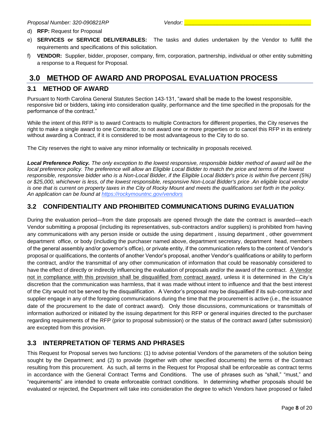- d) **RFP:** Request for Proposal
- e) **SERVICES or SERVICE DELIVERABLES:** The tasks and duties undertaken by the Vendor to fulfill the requirements and specifications of this solicitation.
- f) **VENDOR:** Supplier, bidder, proposer, company, firm, corporation, partnership, individual or other entity submitting a response to a Request for Proposal.

# <span id="page-8-0"></span>**3.0 METHOD OF AWARD AND PROPOSAL EVALUATION PROCESS**

### <span id="page-8-1"></span>**3.1 METHOD OF AWARD**

Pursuant to North Carolina General Statutes Section 143-131, "award shall be made to the lowest responsible, responsive bid or bidders, taking into consideration quality, performance and the time specified in the proposals for the performance of the contract."

While the intent of this RFP is to award Contracts to multiple Contractors for different properties, the City reserves the right to make a single award to one Contractor, to not award one or more properties or to cancel this RFP in its entirety without awarding a Contract, if it is considered to be most advantageous to the City to do so.

The City reserves the right to waive any minor informality or technicality in proposals received.

*Local Preference Policy. The only exception to the lowest responsive, responsible bidder method of award will be the local preference policy. The preference will allow an Eligible Local Bidder to match the price and terms of the lowest responsible, responsive bidder who is a Non-Local Bidder, if the Eligible Local Bidder's price is within five percent (5%) or \$25,000, whichever is less, of the lowest responsible, responsive Non-Local Bidder's price .An eligible local vendor is one that is current on property taxes in the City of Rocky Mount and meets the qualifications set forth in the policy. An application can be found at https://rockymountnc.gov/vendors*

# <span id="page-8-2"></span>**3.2 CONFIDENTIALITY AND PROHIBITED COMMUNICATIONS DURING EVALUATION**

During the evaluation period—from the date proposals are opened through the date the contract is awarded—each Vendor submitting a proposal (including its representatives, sub-contractors and/or suppliers) is prohibited from having any communications with any person inside or outside the using department , issuing department , other government department office, or body (including the purchaser named above, department secretary, department head, members of the general assembly and/or governor's office), or private entity, if the communication refers to the content of Vendor's proposal or qualifications, the contents of another Vendor's proposal, another Vendor's qualifications or ability to perform the contract, and/or the transmittal of any other communication of information that could be reasonably considered to have the effect of directly or indirectly influencing the evaluation of proposals and/or the award of the contract. A Vendor not in compliance with this provision shall be disqualified from contract award, unless it is determined in the City's discretion that the communication was harmless, that it was made without intent to influence and that the best interest of the City would not be served by the disqualification. A Vendor's proposal may be disqualified if its sub-contractor and supplier engage in any of the foregoing communications during the time that the procurement is active (i.e., the issuance date of the procurement to the date of contract award). Only those discussions, communications or transmittals of information authorized or initiated by the issuing department for this RFP or general inquiries directed to the purchaser regarding requirements of the RFP (prior to proposal submission) or the status of the contract award (after submission) are excepted from this provision.

# <span id="page-8-3"></span>**3.3 INTERPRETATION OF TERMS AND PHRASES**

This Request for Proposal serves two functions: (1) to advise potential Vendors of the parameters of the solution being sought by the Department; and (2) to provide (together with other specified documents) the terms of the Contract resulting from this procurement. As such, all terms in the Request for Proposal shall be enforceable as contract terms in accordance with the General Contract Terms and Conditions. The use of phrases such as "shall," "must," and "requirements" are intended to create enforceable contract conditions. In determining whether proposals should be evaluated or rejected, the Department will take into consideration the degree to which Vendors have proposed or failed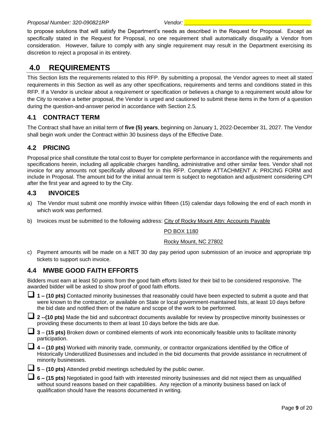#### *Proposal Number: 320-090821RP Vendor: \_\_\_\_\_\_\_\_\_\_\_\_\_\_\_\_\_\_\_\_\_\_\_\_\_\_\_\_\_\_\_\_\_\_\_\_\_\_\_\_\_\_*

to propose solutions that will satisfy the Department's needs as described in the Request for Proposal. Except as specifically stated in the Request for Proposal, no one requirement shall automatically disqualify a Vendor from consideration. However, failure to comply with any single requirement may result in the Department exercising its discretion to reject a proposal in its entirety.

# <span id="page-9-0"></span>**4.0 REQUIREMENTS**

This Section lists the requirements related to this RFP. By submitting a proposal, the Vendor agrees to meet all stated requirements in this Section as well as any other specifications, requirements and terms and conditions stated in this RFP. If a Vendor is unclear about a requirement or specification or believes a change to a requirement would allow for the City to receive a better proposal, the Vendor is urged and cautioned to submit these items in the form of a question during the question-and-answer period in accordance with Section 2.5.

# <span id="page-9-1"></span>**4.1 CONTRACT TERM**

The Contract shall have an initial term of **five (5) years**, beginning on January 1, 2022-December 31, 2027. The Vendor shall begin work under the Contract within 30 business days of the Effective Date.

# <span id="page-9-2"></span>**4.2 PRICING**

Proposal price shall constitute the total cost to Buyer for complete performance in accordance with the requirements and specifications herein, including all applicable charges handling, administrative and other similar fees. Vendor shall not invoice for any amounts not specifically allowed for in this RFP. Complete ATTACHMENT A: PRICING FORM and include in Proposal. The amount bid for the initial annual term is subject to negotiation and adjustment considering CPI after the first year and agreed to by the City.

# <span id="page-9-3"></span>**4.3 INVOICES**

- a) The Vendor must submit one monthly invoice within fifteen (15) calendar days following the end of each month in which work was performed.
- b) Invoices must be submitted to the following address: City of Rocky Mount Attn: Accounts Payable

PO BOX 1180

#### Rocky Mount, NC 27802

c) Payment amounts will be made on a NET 30 day pay period upon submission of an invoice and appropriate trip tickets to support such invoice.

# <span id="page-9-4"></span>**4.4 MWBE GOOD FAITH EFFORTS**

Bidders must earn at least 50 points from the good faith efforts listed for their bid to be considered responsive. The awarded bidder will be asked to show proof of good faith efforts.

❑ **1 – (10 pts)** Contacted minority businesses that reasonably could have been expected to submit a quote and that were known to the contractor, or available on State or local government-maintained lists, at least 10 days before the bid date and notified them of the nature and scope of the work to be performed.

❑ **<sup>2</sup> --(10 pts)** Made the bid and subcontract documents available for review by prospective minority businesses or providing these documents to them at least 10 days before the bids are due.

❑ **<sup>3</sup>** – **(15 pts)** Broken down or combined elements of work into economically feasible units to facilitate minority participation.

❑ **<sup>4</sup> – (10 pts)** Worked with minority trade, community, or contractor organizations identified by the Office of Historically Underutilized Businesses and included in the bid documents that provide assistance in recruitment of minority businesses.



❑ **<sup>6</sup> – (15 pts)** Negotiated in good faith with interested minority businesses and did not reject them as unqualified without sound reasons based on their capabilities. Any rejection of a minority business based on lack of qualification should have the reasons documented in writing.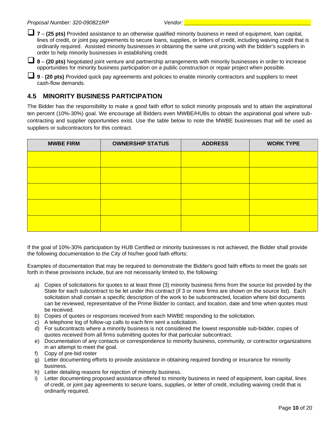❑ **<sup>7</sup>** – **(25 pts)** Provided assistance to an otherwise qualified minority business in need of equipment, loan capital, lines of credit, or joint pay agreements to secure loans, supplies, or letters of credit, including waiving credit that is ordinarily required. Assisted minority businesses in obtaining the same unit pricing with the bidder's suppliers in order to help minority businesses in establishing credit.

❑ **<sup>8</sup>** – **(20 pts)** Negotiated joint venture and partnership arrangements with minority businesses in order to increase opportunities for minority business participation on a public construction or repair project when possible.

❑ **<sup>9</sup>** - **(20 pts)** Provided quick pay agreements and policies to enable minority contractors and suppliers to meet cash-flow demands.

# <span id="page-10-0"></span>**4.5 MINORITY BUSINESS PARTICIPATION**

The Bidder has the responsibility to make a good faith effort to solicit minority proposals and to attain the aspirational ten percent (10%-30%) goal. We encourage all Bidders even MWBE/HUBs to obtain the aspirational goal where subcontracting and supplier opportunities exist. Use the table below to note the MWBE businesses that will be used as suppliers or subcontractors for this contract.

| <b>MWBE FIRM</b> | <b>OWNERSHIP STATUS</b> | <b>ADDRESS</b> | <b>WORK TYPE</b> |
|------------------|-------------------------|----------------|------------------|
|                  |                         |                |                  |
|                  |                         |                |                  |
|                  |                         |                |                  |
|                  |                         |                |                  |
|                  |                         |                |                  |

If the goal of 10%-30% participation by HUB Certified or minority businesses is not achieved, the Bidder shall provide the following documentation to the City of his/her good faith efforts:

Examples of documentation that may be required to demonstrate the Bidder's good faith efforts to meet the goals set forth in these provisions include, but are not necessarily limited to, the following:

- a) Copies of solicitations for quotes to at least three (3) minority business firms from the source list provided by the State for each subcontract to be let under this contract (if 3 or more firms are shown on the source list). Each solicitation shall contain a specific description of the work to be subcontracted, location where bid documents can be reviewed, representative of the Prime Bidder to contact, and location, date and time when quotes must be received.
- b) Copies of quotes or responses received from each MWBE responding to the solicitation.
- c) A telephone log of follow-up calls to each firm sent a solicitation.
- d) For subcontracts where a minority business is not considered the lowest responsible sub-bidder, copies of quotes received from all firms submitting quotes for that particular subcontract.
- e) Documentation of any contacts or correspondence to minority business, community, or contractor organizations in an attempt to meet the goal.
- f) Copy of pre-bid roster
- g) Letter documenting efforts to provide assistance in obtaining required bonding or insurance for minority business.
- h) Letter detailing reasons for rejection of minority business.
- Letter documenting proposed assistance offered to minority business in need of equipment, loan capital, lines of credit, or joint pay agreements to secure loans, supplies, or letter of credit, including waiving credit that is ordinarily required.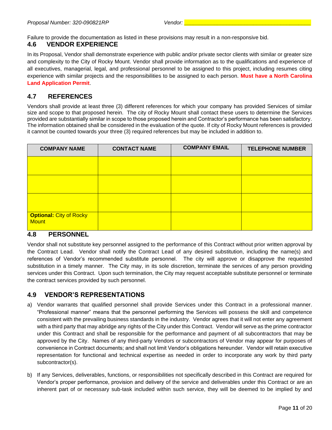Failure to provide the documentation as listed in these provisions may result in a non-responsive bid.

### <span id="page-11-0"></span>**4.6 VENDOR EXPERIENCE**

In its Proposal, Vendor shall demonstrate experience with public and/or private sector clients with similar or greater size and complexity to the City of Rocky Mount. Vendor shall provide information as to the qualifications and experience of all executives, managerial, legal, and professional personnel to be assigned to this project, including resumes citing experience with similar projects and the responsibilities to be assigned to each person. **Must have a North Carolina Land Application Permit**.

### <span id="page-11-1"></span>**4.7 REFERENCES**

Vendors shall provide at least three (3) different references for which your company has provided Services of similar size and scope to that proposed herein. The city of Rocky Mount shall contact these users to determine the Services provided are substantially similar in scope to those proposed herein and Contractor's performance has been satisfactory. The information obtained shall be considered in the evaluation of the quote. If city of Rocky Mount references is provided it cannot be counted towards your three (3) required references but may be included in addition to.

| <b>COMPANY NAME</b>                            | <b>CONTACT NAME</b> | <b>COMPANY EMAIL</b> | <b>TELEPHONE NUMBER</b> |
|------------------------------------------------|---------------------|----------------------|-------------------------|
|                                                |                     |                      |                         |
|                                                |                     |                      |                         |
|                                                |                     |                      |                         |
| <b>Optional: City of Rocky</b><br><b>Mount</b> |                     |                      |                         |

### <span id="page-11-2"></span>**4.8 PERSONNEL**

Vendor shall not substitute key personnel assigned to the performance of this Contract without prior written approval by the Contract Lead. Vendor shall notify the Contract Lead of any desired substitution, including the name(s) and references of Vendor's recommended substitute personnel. The city will approve or disapprove the requested substitution in a timely manner. The City may, in its sole discretion, terminate the services of any person providing services under this Contract. Upon such termination, the City may request acceptable substitute personnel or terminate the contract services provided by such personnel.

### <span id="page-11-3"></span>**4.9 VENDOR'S REPRESENTATIONS**

- a) Vendor warrants that qualified personnel shall provide Services under this Contract in a professional manner. "Professional manner" means that the personnel performing the Services will possess the skill and competence consistent with the prevailing business standards in the industry. Vendor agrees that it will not enter any agreement with a third party that may abridge any rights of the City under this Contract. Vendor will serve as the prime contractor under this Contract and shall be responsible for the performance and payment of all subcontractors that may be approved by the City. Names of any third-party Vendors or subcontractors of Vendor may appear for purposes of convenience in Contract documents; and shall not limit Vendor's obligations hereunder. Vendor will retain executive representation for functional and technical expertise as needed in order to incorporate any work by third party subcontractor(s).
- b) If any Services, deliverables, functions, or responsibilities not specifically described in this Contract are required for Vendor's proper performance, provision and delivery of the service and deliverables under this Contract or are an inherent part of or necessary sub-task included within such service, they will be deemed to be implied by and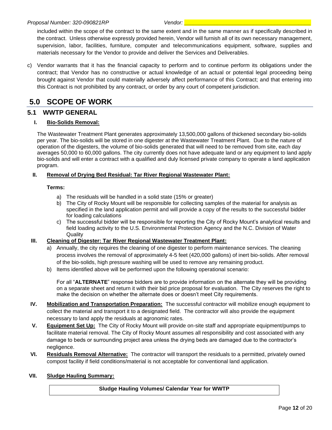included within the scope of the contract to the same extent and in the same manner as if specifically described in the contract. Unless otherwise expressly provided herein, Vendor will furnish all of its own necessary management, supervision, labor, facilities, furniture, computer and telecommunications equipment, software, supplies and materials necessary for the Vendor to provide and deliver the Services and Deliverables.

c) Vendor warrants that it has the financial capacity to perform and to continue perform its obligations under the contract; that Vendor has no constructive or actual knowledge of an actual or potential legal proceeding being brought against Vendor that could materially adversely affect performance of this Contract; and that entering into this Contract is not prohibited by any contract, or order by any court of competent jurisdiction.

# <span id="page-12-0"></span>**5.0 SCOPE OF WORK**

### <span id="page-12-1"></span>**5.1 WWTP GENERAL**

### **I. Bio-Solids Removal:**

The Wastewater Treatment Plant generates approximately 13,500,000 gallons of thickened secondary bio-solids per year. The bio-solids will be stored in one digester at the Wastewater Treatment Plant. Due to the nature of operation of the digesters, the volume of bio-solids generated that will need to be removed from site, each day averages 50,000 to 60,000 gallons. The city currently does not have adequate land or any equipment to land apply bio-solids and will enter a contract with a qualified and duly licensed private company to operate a land application program.

### **II. Removal of Drying Bed Residual: Tar River Regional Wastewater Plant:**

### **Terms:**

- a) The residuals will be handled in a solid state (15% or greater)
- b) The City of Rocky Mount will be responsible for collecting samples of the material for analysis as specified in the land application permit and will provide a copy of the results to the successful bidder for loading calculations
- c) The successful bidder will be responsible for reporting the City of Rocky Mount's analytical results and field loading activity to the U.S. Environmental Protection Agency and the N.C. Division of Water **Quality**

### **III. Cleaning of Digester: Tar River Regional Wastewater Treatment Plant:**

- a) Annually, the city requires the cleaning of one digester to perform maintenance services. The cleaning process involves the removal of approximately 4-5 feet (420,000 gallons) of inert bio-solids. After removal of the bio-solids, high pressure washing will be used to remove any remaining product.
- b) Items identified above will be performed upon the following operational scenario:

For all "**ALTERNATE**" response bidders are to provide information on the alternate they will be providing on a separate sheet and return it with their bid price proposal for evaluation. The City reserves the right to make the decision on whether the alternate does or doesn't meet City requirements.

- **IV. Mobilization and Transportation Preparation:** The successful contractor will mobilize enough equipment to collect the material and transport it to a designated field. The contractor will also provide the equipment necessary to land apply the residuals at agronomic rates.
- **V. Equipment Set Up:** The City of Rocky Mount will provide on-site staff and appropriate equipment/pumps to facilitate material removal. The City of Rocky Mount assumes all responsibility and cost associated with any damage to beds or surrounding project area unless the drying beds are damaged due to the contractor's negligence.
- **VI. Residuals Removal Alternative:** The contractor will transport the residuals to a permitted, privately owned compost facility if field conditions/material is not acceptable for conventional land application.

### **VII. Sludge Hauling Summary:**

### **Sludge Hauling Volumes/ Calendar Year for WWTP**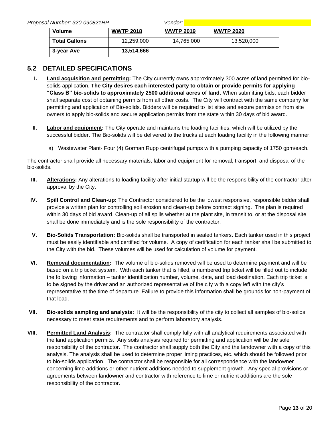*Proposal Number: 320-090821RP Vendor: \_\_\_\_\_\_\_\_\_\_\_\_\_\_\_\_\_\_\_\_\_\_\_\_\_\_\_\_\_\_\_\_\_\_\_\_\_\_\_\_\_\_*

| I Number: 320-090821RP |                  | vendor: I        |                  |
|------------------------|------------------|------------------|------------------|
| Volume                 | <b>WWTP 2018</b> | <b>WWTP 2019</b> | <b>WWTP 2020</b> |
| <b>Total Gallons</b>   | 12,259,000       | 14,765,000       | 13,520,000       |
| 3-year Ave             | 13,514,666       |                  |                  |

# <span id="page-13-0"></span>**5.2 DETAILED SPECIFICATIONS**

- **I. Land acquisition and permitting:** The City currently owns approximately 300 acres of land permitted for biosolids application. **The City desires each interested party to obtain or provide permits for applying "Class B" bio-solids to approximately 2500 additional acres of land**. When submitting bids, each bidder shall separate cost of obtaining permits from all other costs. The City will contract with the same company for permitting and application of Bio-solids. Bidders will be required to list sites and secure permission from site owners to apply bio-solids and secure application permits from the state within 30 days of bid award.
- **II. Labor and equipment:** The City operate and maintains the loading facilities, which will be utilized by the successful bidder. The Bio-solids will be delivered to the trucks at each loading facility in the following manner:
	- a) Wastewater Plant- Four (4) Gorman Rupp centrifugal pumps with a pumping capacity of 1750 gpm/each.

The contractor shall provide all necessary materials, labor and equipment for removal, transport, and disposal of the bio-solids.

- **III. Alterations:** Any alterations to loading facility after initial startup will be the responsibility of the contractor after approval by the City.
- **IV. Spill Control and Clean-up:** The Contractor considered to be the lowest responsive, responsible bidder shall provide a written plan for controlling soil erosion and clean-up before contract signing. The plan is required within 30 days of bid award. Clean-up of all spills whether at the plant site, in transit to, or at the disposal site shall be done immediately and is the sole responsibility of the contractor.
- **V. Bio-Solids Transportation:** Bio-solids shall be transported in sealed tankers. Each tanker used in this project must be easily identifiable and certified for volume. A copy of certification for each tanker shall be submitted to the City with the bid. These volumes will be used for calculation of volume for payment.
- **VI. Removal documentation:** The volume of bio-solids removed will be used to determine payment and will be based on a trip ticket system. With each tanker that is filled, a numbered trip ticket will be filled out to include the following information – tanker identification number, volume, date, and load destination. Each trip ticket is to be signed by the driver and an authorized representative of the city with a copy left with the city's representative at the time of departure. Failure to provide this information shall be grounds for non-payment of that load.
- **VII. Bio-solids sampling and analysis:** It will be the responsibility of the city to collect all samples of bio-solids necessary to meet state requirements and to perform laboratory analysis.
- **VIII. Permitted Land Analysis:** The contractor shall comply fully with all analytical requirements associated with the land application permits. Any soils analysis required for permitting and application will be the sole responsibility of the contractor. The contractor shall supply both the City and the landowner with a copy of this analysis. The analysis shall be used to determine proper liming practices, etc. which should be followed prior to bio-solids application. The contractor shall be responsible for all correspondence with the landowner concerning lime additions or other nutrient additions needed to supplement growth. Any special provisions or agreements between landowner and contractor with reference to lime or nutrient additions are the sole responsibility of the contractor.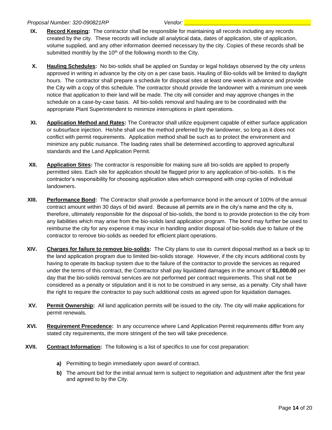#### *Proposal Number: 320-090821RP Vendor: \_\_\_\_\_\_\_\_\_\_\_\_\_\_\_\_\_\_\_\_\_\_\_\_\_\_\_\_\_\_\_\_\_\_\_\_\_\_\_\_\_\_*

- **IX. Record Keeping:** The contractor shall be responsible for maintaining all records including any records created by the city. These records will include all analytical data, dates of application, site of application, volume supplied, and any other information deemed necessary by the city. Copies of these records shall be submitted monthly by the 10<sup>th</sup> of the following month to the City.
- **X. Hauling Schedules:** No bio-solids shall be applied on Sunday or legal holidays observed by the city unless approved in writing in advance by the city on a per case basis. Hauling of Bio-solids will be limited to daylight hours. The contractor shall prepare a schedule for disposal sites at least one week in advance and provide the City with a copy of this schedule. The contractor should provide the landowner with a minimum one week notice that application to their land will be made. The city will consider and may approve changes in the schedule on a case-by-case basis. All bio-solids removal and hauling are to be coordinated with the appropriate Plant Superintendent to minimize interruptions in plant operations.
- **XI. Application Method and Rates:** The Contractor shall utilize equipment capable of either surface application or subsurface injection. He/she shall use the method preferred by the landowner, so long as it does not conflict with permit requirements. Application method shall be such as to protect the environment and minimize any public nuisance. The loading rates shall be determined according to approved agricultural standards and the Land Application Permit.
- **XII. Application Sites:** The contractor is responsible for making sure all bio-solids are applied to properly permitted sites. Each site for application should be flagged prior to any application of bio-solids. It is the contractor's responsibility for choosing application sites which correspond with crop cycles of individual landowners.
- **XIII. Performance Bond:** The Contractor shall provide a performance bond in the amount of 100% of the annual contract amount within 30 days of bid award. Because all permits are in the city's name and the city is, therefore, ultimately responsible for the disposal of bio-solids, the bond is to provide protection to the city from any liabilities which may arise from the bio-solids land application program. The bond may further be used to reimburse the city for any expense it may incur in handling and/or disposal of bio-solids due to failure of the contractor to remove bio-solids as needed for efficient plant operations.
- **XIV. Charges for failure to remove bio-solids:** The City plans to use its current disposal method as a back up to the land application program due to limited bio-solids storage. However, if the city incurs additional costs by having to operate its backup system due to the failure of the contractor to provide the services as required under the terms of this contract, the Contractor shall pay liquidated damages in the amount of **\$1,000.00** per day that the bio-solids removal services are not performed per contract requirements. This shall not be considered as a penalty or stipulation and it is not to be construed in any sense, as a penalty. City shall have the right to require the contractor to pay such additional costs as agreed upon for liquidation damages.
- **XV. Permit Ownership:** All land application permits will be issued to the city. The city will make applications for permit renewals.
- **XVI. Requirement Precedence:** In any occurrence where Land Application Permit requirements differ from any stated city requirements, the more stringent of the two will take precedence.
- **XVII. Contract Information:** The following is a list of specifics to use for cost preparation:
	- **a)** Permitting to begin immediately upon award of contract.
	- **b)** The amount bid for the initial annual term is subject to negotiation and adjustment after the first year and agreed to by the City.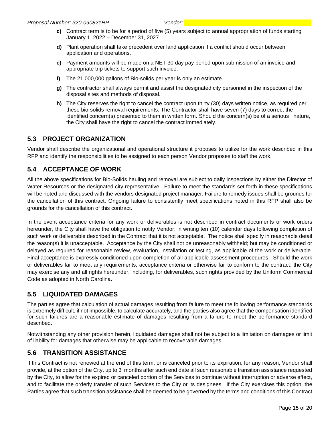- **c)** Contract term is to be for a period of five (5) years subject to annual appropriation of funds starting January 1, 2022 – December 31, 2027.
- **d)** Plant operation shall take precedent over land application if a conflict should occur between application and operations.
- **e)** Payment amounts will be made on a NET 30 day pay period upon submission of an invoice and appropriate trip tickets to support such invoice.
- **f)** The 21,000,000 gallons of Bio-solids per year is only an estimate.
- **g)** The contractor shall always permit and assist the designated city personnel in the inspection of the disposal sites and methods of disposal.
- **h)** The City reserves the right to cancel the contract upon thirty (30) days written notice, as required per these bio-solids removal requirements. The Contractor shall have seven (7) days to correct the identified concern(s) presented to them in written form. Should the concern(s) be of a serious nature, the City shall have the right to cancel the contract immediately.

# <span id="page-15-0"></span>**5.3 PROJECT ORGANIZATION**

Vendor shall describe the organizational and operational structure it proposes to utilize for the work described in this RFP and identify the responsibilities to be assigned to each person Vendor proposes to staff the work.

# <span id="page-15-1"></span>**5.4 ACCEPTANCE OF WORK**

All the above specifications for Bio-Solids hauling and removal are subject to daily inspections by either the Director of Water Resources or the designated city representative. Failure to meet the standards set forth in these specifications will be noted and discussed with the vendors designated project manager. Failure to remedy issues shall be grounds for the cancellation of this contract. Ongoing failure to consistently meet specifications noted in this RFP shall also be grounds for the cancellation of this contract.

In the event acceptance criteria for any work or deliverables is not described in contract documents or work orders hereunder, the City shall have the obligation to notify Vendor, in writing ten (10) calendar days following completion of such work or deliverable described in the Contract that it is not acceptable. The notice shall specify in reasonable detail the reason(s) it is unacceptable. Acceptance by the City shall not be unreasonably withheld; but may be conditioned or delayed as required for reasonable review, evaluation, installation or testing, as applicable of the work or deliverable. Final acceptance is expressly conditioned upon completion of all applicable assessment procedures. Should the work or deliverables fail to meet any requirements, acceptance criteria or otherwise fail to conform to the contract, the City may exercise any and all rights hereunder, including, for deliverables, such rights provided by the Uniform Commercial Code as adopted in North Carolina.

# <span id="page-15-2"></span>**5.5 LIQUIDATED DAMAGES**

The parties agree that calculation of actual damages resulting from failure to meet the following performance standards is extremely difficult, if not impossible, to calculate accurately, and the parties also agree that the compensation identified for such failures are a reasonable estimate of damages resulting from a failure to meet the performance standard described.

Notwithstanding any other provision herein, liquidated damages shall not be subject to a limitation on damages or limit of liability for damages that otherwise may be applicable to recoverable damages.

# <span id="page-15-3"></span>**5.6 TRANSITION ASSISTANCE**

If this Contract is not renewed at the end of this term, or is canceled prior to its expiration, for any reason, Vendor shall provide, at the option of the City, up to 3 months after such end date all such reasonable transition assistance requested by the City, to allow for the expired or canceled portion of the Services to continue without interruption or adverse effect, and to facilitate the orderly transfer of such Services to the City or its designees. If the City exercises this option, the Parties agree that such transition assistance shall be deemed to be governed by the terms and conditions of this Contract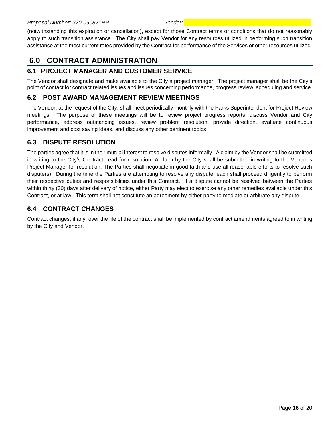(notwithstanding this expiration or cancellation), except for those Contract terms or conditions that do not reasonably apply to such transition assistance. The City shall pay Vendor for any resources utilized in performing such transition assistance at the most current rates provided by the Contract for performance of the Services or other resources utilized.

# <span id="page-16-0"></span>**6.0 CONTRACT ADMINISTRATION**

# <span id="page-16-1"></span>**6.1 PROJECT MANAGER AND CUSTOMER SERVICE**

The Vendor shall designate and make available to the City a project manager. The project manager shall be the City's point of contact for contract related issues and issues concerning performance, progress review, scheduling and service.

# <span id="page-16-2"></span>**6.2 POST AWARD MANAGEMENT REVIEW MEETINGS**

The Vendor, at the request of the City, shall meet periodically monthly with the Parks Superintendent for Project Review meetings. The purpose of these meetings will be to review project progress reports, discuss Vendor and City performance, address outstanding issues, review problem resolution, provide direction, evaluate continuous improvement and cost saving ideas, and discuss any other pertinent topics.

# <span id="page-16-3"></span>**6.3 DISPUTE RESOLUTION**

The parties agree that it is in their mutual interest to resolve disputes informally. A claim by the Vendor shall be submitted in writing to the City's Contract Lead for resolution. A claim by the City shall be submitted in writing to the Vendor's Project Manager for resolution. The Parties shall negotiate in good faith and use all reasonable efforts to resolve such dispute(s). During the time the Parties are attempting to resolve any dispute, each shall proceed diligently to perform their respective duties and responsibilities under this Contract. If a dispute cannot be resolved between the Parties within thirty (30) days after delivery of notice, either Party may elect to exercise any other remedies available under this Contract, or at law. This term shall not constitute an agreement by either party to mediate or arbitrate any dispute.

# <span id="page-16-4"></span>**6.4 CONTRACT CHANGES**

Contract changes, if any, over the life of the contract shall be implemented by contract amendments agreed to in writing by the City and Vendor.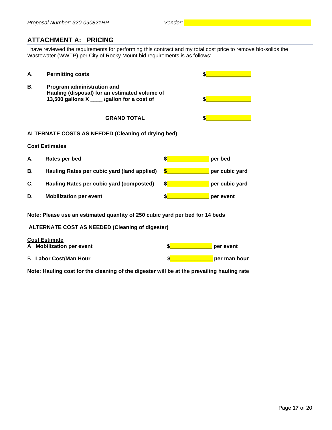# <span id="page-17-0"></span>**ATTACHMENT A: PRICING**

I have reviewed the requirements for performing this contract and my total cost price to remove bio-solids the Wastewater (WWTP) per City of Rocky Mount bid requirements is as follows:

| А. | <b>Permitting costs</b>                                                                                                    |         |  |
|----|----------------------------------------------------------------------------------------------------------------------------|---------|--|
| В. | Program administration and<br>Hauling (disposal) for an estimated volume of<br>13,500 gallons X ____ /gallon for a cost of |         |  |
|    | <b>GRAND TOTAL</b>                                                                                                         |         |  |
|    | <b>ALTERNATE COSTS AS NEEDED (Cleaning of drying bed)</b>                                                                  |         |  |
|    | <b>Cost Estimates</b>                                                                                                      |         |  |
| Α. | Rates per bed                                                                                                              | per bed |  |

| В. | Hauling Rates per cubic yard (land applied) | per cubic yard |
|----|---------------------------------------------|----------------|
| C. | Hauling Rates per cubic yard (composted)    | per cubic yard |
| D. | <b>Mobilization per event</b>               | per event      |

**Note: Please use an estimated quantity of 250 cubic yard per bed for 14 beds**

#### **ALTERNATE COST AS NEEDED (Cleaning of digester)**

| <b>Cost Estimate</b> |                              |  |              |
|----------------------|------------------------------|--|--------------|
|                      | A Mobilization per event     |  | per event    |
|                      | <b>B</b> Labor Cost/Man Hour |  | per man hour |

**Note: Hauling cost for the cleaning of the digester will be at the prevailing hauling rate**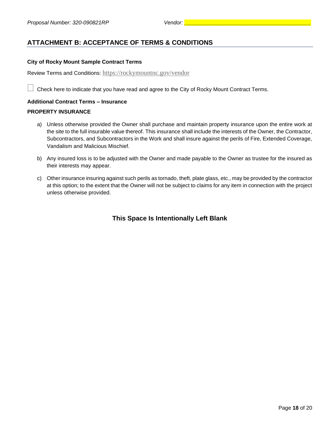# <span id="page-18-0"></span>**ATTACHMENT B: ACCEPTANCE OF TERMS & CONDITIONS**

#### **City of Rocky Mount Sample Contract Terms**

Review Terms and Conditions: <https://rockymountnc.gov/vendor>

Check here to indicate that you have read and agree to the City of Rocky Mount Contract Terms.

#### **Additional Contract Terms – Insurance**

#### **PROPERTY INSURANCE**

- a) Unless otherwise provided the Owner shall purchase and maintain property insurance upon the entire work at the site to the full insurable value thereof. This insurance shall include the interests of the Owner, the Contractor, Subcontractors, and Subcontractors in the Work and shall insure against the perils of Fire, Extended Coverage, Vandalism and Malicious Mischief.
- b) Any insured loss is to be adjusted with the Owner and made payable to the Owner as trustee for the insured as their interests may appear.
- c) Other insurance insuring against such perils as tornado, theft, plate glass, etc., may be provided by the contractor at this option; to the extent that the Owner will not be subject to claims for any item in connection with the project unless otherwise provided.

### **This Space Is Intentionally Left Blank**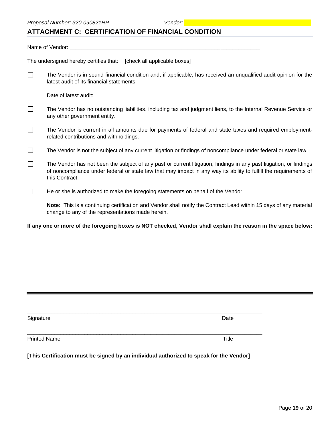# <span id="page-19-0"></span>**ATTACHMENT C: CERTIFICATION OF FINANCIAL CONDITION**

Name of Vendor: \_\_\_\_\_\_\_\_\_\_\_\_\_\_\_\_\_\_\_\_\_\_\_\_\_\_\_\_\_\_\_\_\_\_\_\_\_\_\_\_\_\_\_\_\_\_\_\_\_\_\_\_\_\_\_\_\_\_\_\_\_\_\_ The undersigned hereby certifies that: [check all applicable boxes]  $\Box$ The Vendor is in sound financial condition and, if applicable, has received an unqualified audit opinion for the latest audit of its financial statements. Date of latest audit: \_\_\_\_\_\_\_\_\_\_\_\_\_\_\_\_\_\_\_\_\_\_\_\_\_\_  $\Box$ The Vendor has no outstanding liabilities, including tax and judgment liens, to the Internal Revenue Service or any other government entity.

- $\Box$ The Vendor is current in all amounts due for payments of federal and state taxes and required employmentrelated contributions and withholdings.
- The Vendor is not the subject of any current litigation or findings of noncompliance under federal or state law.  $\Box$
- $\Box$ The Vendor has not been the subject of any past or current litigation, findings in any past litigation, or findings of noncompliance under federal or state law that may impact in any way its ability to fulfill the requirements of this Contract.
- $\Box$ He or she is authorized to make the foregoing statements on behalf of the Vendor.

**Note:** This is a continuing certification and Vendor shall notify the Contract Lead within 15 days of any material change to any of the representations made herein.

**If any one or more of the foregoing boxes is NOT checked, Vendor shall explain the reason in the space below:**

| Signature           | Date  |
|---------------------|-------|
| <b>Printed Name</b> | Title |

**[This Certification must be signed by an individual authorized to speak for the Vendor]**